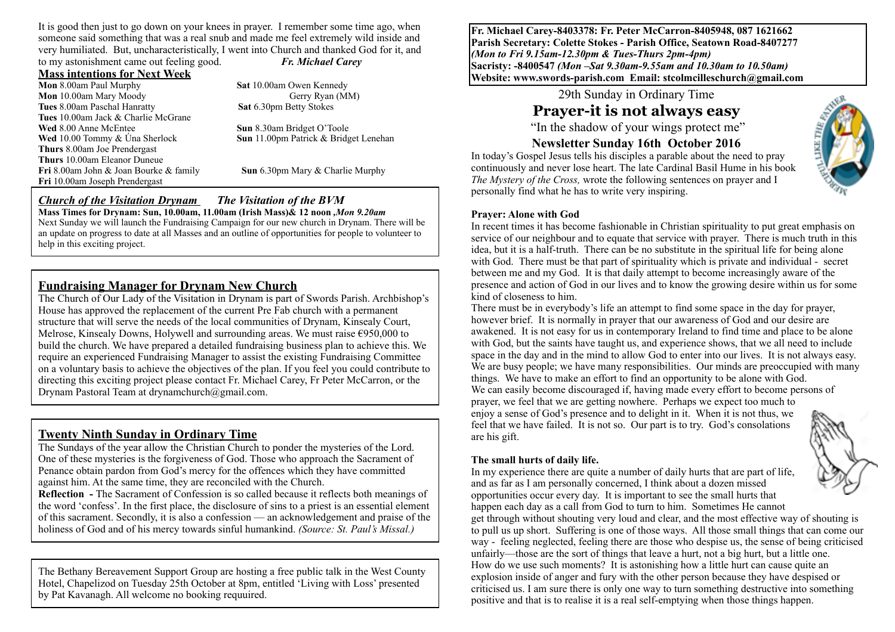It is good then just to go down on your knees in prayer. I remember some time ago, when someone said something that was a real snub and made me feel extremely wild inside and very humiliated. But, uncharacteristically, I went into Church and thanked God for it, and to my astonishment came out feeling good. *Fr. Michael Carey*

#### **Mass intentions for Next Week**

**Mon** 8.00am Paul Murphy **Sat** 10.00am Owen Kennedy **Mon** 10.00am Mary Moody Gerry Ryan (MM) **Tues** 8.00am Paschal Hanratty **Sat 6.30pm Betty Stokes Tues** 10.00am Jack & Charlie McGrane **Wed** 8.00 Anne McEntee **Sun 8.30am Bridget O'Toole**<br> **Wed** 10.00 Tommy & Una Sherlock **Sun** 11.00pm Patrick & Bridget **Thurs** 8.00am Joe Prendergast **Thurs** 10.00am Eleanor Duneue **Fri** 8.00am John & Joan Bourke & family **Sun** 6.30pm Mary & Charlie Murphy **Fri** 10.00am Joseph Prendergast

**Sun** 11.00pm Patrick & Bridget Lenehan

#### *Church of the Visitation Drynam**The Visitation of the BVM* **Mass Times for Drynam: Sun, 10.00am, 11.00am (Irish Mass)& 12 noon** *,Mon 9.20am*

Next Sunday we will launch the Fundraising Campaign for our new church in Drynam. There will be an update on progress to date at all Masses and an outline of opportunities for people to volunteer to help in this exciting project.

## **Fundraising Manager for Drynam New Church**

The Church of Our Lady of the Visitation in Drynam is part of Swords Parish. Archbishop's House has approved the replacement of the current Pre Fab church with a permanent structure that will serve the needs of the local communities of Drynam, Kinsealy Court, Melrose, Kinsealy Downs, Holywell and surrounding areas. We must raise  $\epsilon$ 950,000 to build the church. We have prepared a detailed fundraising business plan to achieve this. We require an experienced Fundraising Manager to assist the existing Fundraising Committee on a voluntary basis to achieve the objectives of the plan. If you feel you could contribute to directing this exciting project please contact Fr. Michael Carey, Fr Peter McCarron, or the Drynam Pastoral Team at drynamchurch@gmail.com.

## **Twenty Ninth Sunday in Ordinary Time**

The Sundays of the year allow the Christian Church to ponder the mysteries of the Lord. One of these mysteries is the forgiveness of God. Those who approach the Sacrament of Penance obtain pardon from God's mercy for the offences which they have committed against him. At the same time, they are reconciled with the Church.

**Reflection -** The Sacrament of Confession is so called because it reflects both meanings of the word 'confess'. In the first place, the disclosure of sins to a priest is an essential element of this sacrament. Secondly, it is also a confession — an acknowledgement and praise of the holiness of God and of his mercy towards sinful humankind. *(Source: St. Paul's Missal.)*

The Bethany Bereavement Support Group are hosting a free public talk in the West County Hotel, Chapelizod on Tuesday 25th October at 8pm, entitled 'Living with Loss' presented by Pat Kavanagh. All welcome no booking requuired.

**Fr. Michael Carey-8403378: Fr. Peter McCarron-8405948, 087 1621662 Parish Secretary: Colette Stokes - Parish Office, Seatown Road-8407277**  *(Mon to Fri 9.15am-12.30pm & Tues-Thurs 2pm-4pm)*  **Sacristy: -8400547** *(Mon –Sat 9.30am-9.55am and 10.30am to 10.50am)* **Website: [www.swords-parish.com Email:](http://www.swords-parish.com%20%20email) stcolmcilleschurch@gmail.com**

29th Sunday in Ordinary Time

# **Prayer-it is not always easy**

"In the shadow of your wings protect me"

### **Newsletter Sunday 16th October 2016**

In today's Gospel Jesus tells his disciples a parable about the need to pray continuously and never lose heart. The late Cardinal Basil Hume in his book *The Mystery of the Cross,* wrote the following sentences on prayer and I personally find what he has to write very inspiring.

#### **Prayer: Alone with God**

In recent times it has become fashionable in Christian spirituality to put great emphasis on service of our neighbour and to equate that service with prayer. There is much truth in this idea, but it is a half-truth. There can be no substitute in the spiritual life for being alone with God. There must be that part of spirituality which is private and individual - secret between me and my God. It is that daily attempt to become increasingly aware of the presence and action of God in our lives and to know the growing desire within us for some kind of closeness to him.

There must be in everybody's life an attempt to find some space in the day for prayer, however brief. It is normally in prayer that our awareness of God and our desire are awakened. It is not easy for us in contemporary Ireland to find time and place to be alone with God, but the saints have taught us, and experience shows, that we all need to include space in the day and in the mind to allow God to enter into our lives. It is not always easy. We are busy people; we have many responsibilities. Our minds are preoccupied with many things. We have to make an effort to find an opportunity to be alone with God. We can easily become discouraged if, having made every effort to become persons of prayer, we feel that we are getting nowhere. Perhaps we expect too much to enjoy a sense of God's presence and to delight in it. When it is not thus, we feel that we have failed. It is not so. Our part is to try. God's consolations are his gift.

#### **The small hurts of daily life.**

In my experience there are quite a number of daily hurts that are part of life, and as far as I am personally concerned, I think about a dozen missed opportunities occur every day. It is important to see the small hurts that happen each day as a call from God to turn to him. Sometimes He cannot

get through without shouting very loud and clear, and the most effective way of shouting is to pull us up short. Suffering is one of those ways. All those small things that can come our way - feeling neglected, feeling there are those who despise us, the sense of being criticised unfairly—those are the sort of things that leave a hurt, not a big hurt, but a little one. How do we use such moments? It is astonishing how a little hurt can cause quite an explosion inside of anger and fury with the other person because they have despised or criticised us. I am sure there is only one way to turn something destructive into something positive and that is to realise it is a real self-emptying when those things happen.